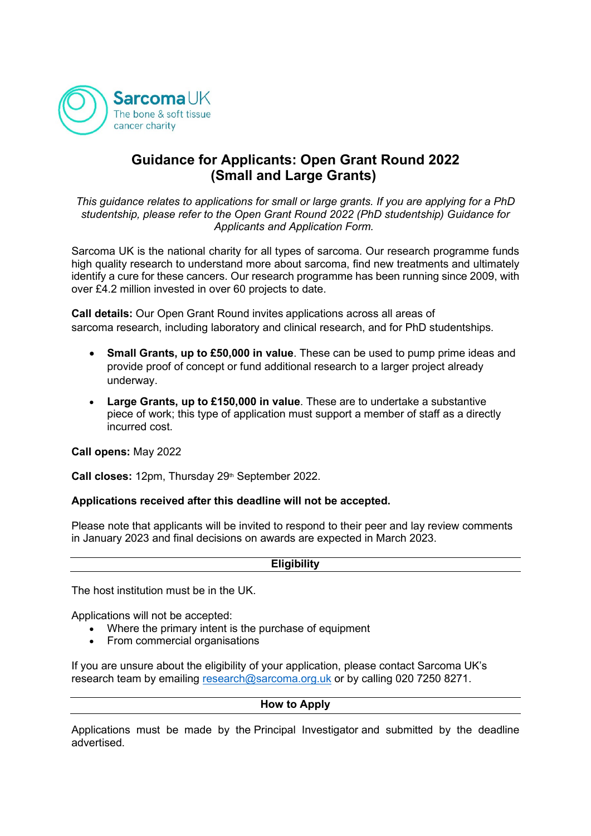

# **Guidance for Applicants: Open Grant Round 2022 (Small and Large Grants)**

*This guidance relates to applications for small or large grants. If you are applying for a PhD studentship, please refer to the Open Grant Round 2022 (PhD studentship) Guidance for Applicants and Application Form.*

Sarcoma UK is the national charity for all types of sarcoma. Our research programme funds high quality research to understand more about sarcoma, find new treatments and ultimately identify a cure for these cancers. Our research programme has been running since 2009, with over £4.2 million invested in over 60 projects to date.

**Call details:** Our Open Grant Round invites applications across all areas of sarcoma research, including laboratory and clinical research, and for PhD studentships.

- **Small Grants, up to £50,000 in value**. These can be used to pump prime ideas and provide proof of concept or fund additional research to a larger project already underway.
- **Large Grants, up to £150,000 in value**. These are to undertake a substantive piece of work; this type of application must support a member of staff as a directly incurred cost.

**Call opens:** May 2022

Call closes: 12pm, Thursday 29<sup>th</sup> September 2022.

### **Applications received after this deadline will not be accepted.**

Please note that applicants will be invited to respond to their peer and lay review comments in January 2023 and final decisions on awards are expected in March 2023.

#### **Eligibility**

The host institution must be in the UK.

Applications will not be accepted:

- Where the primary intent is the purchase of equipment
- From commercial organisations

If you are unsure about the eligibility of your application, please contact Sarcoma UK's research team by emailing [research@sarcoma.org.uk](mailto:research@sarcoma.org.uk) or by calling 020 7250 8271.

#### **How to Apply**

Applications must be made by the Principal Investigator and submitted by the deadline advertised.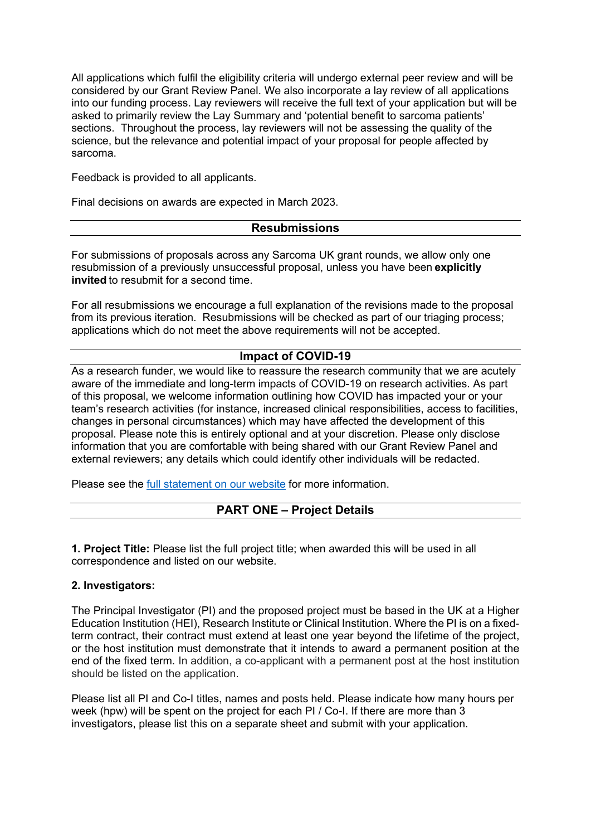All applications which fulfil the eligibility criteria will undergo external peer review and will be considered by our Grant Review Panel. We also incorporate a lay review of all applications into our funding process. Lay reviewers will receive the full text of your application but will be asked to primarily review the Lay Summary and 'potential benefit to sarcoma patients' sections. Throughout the process, lay reviewers will not be assessing the quality of the science, but the relevance and potential impact of your proposal for people affected by sarcoma.

Feedback is provided to all applicants.

Final decisions on awards are expected in March 2023.

### **Resubmissions**

For submissions of proposals across any Sarcoma UK grant rounds, we allow only one resubmission of a previously unsuccessful proposal, unless you have been **explicitly invited** to resubmit for a second time.

For all resubmissions we encourage a full explanation of the revisions made to the proposal from its previous iteration. Resubmissions will be checked as part of our triaging process; applications which do not meet the above requirements will not be accepted.

### **Impact of COVID-19**

As a research funder, we would like to reassure the research community that we are acutely aware of the immediate and long-term impacts of COVID-19 on research activities. As part of this proposal, we welcome information outlining how COVID has impacted your or your team's research activities (for instance, increased clinical responsibilities, access to facilities, changes in personal circumstances) which may have affected the development of this proposal. Please note this is entirely optional and at your discretion. Please only disclose information that you are comfortable with being shared with our Grant Review Panel and external reviewers; any details which could identify other individuals will be redacted.

Please see the [full statement on our website](https://sarcoma.org.uk/wp-content/uploads/2022/05/COVID-19-cross-funder-memory-statement_for-publication.pdf) for more information.

### **PART ONE – Project Details**

**1. Project Title:** Please list the full project title; when awarded this will be used in all correspondence and listed on our website.

### **2. Investigators:**

The Principal Investigator (PI) and the proposed project must be based in the UK at a Higher Education Institution (HEI), Research Institute or Clinical Institution. Where the PI is on a fixedterm contract, their contract must extend at least one year beyond the lifetime of the project, or the host institution must demonstrate that it intends to award a permanent position at the end of the fixed term. In addition, a co-applicant with a permanent post at the host institution should be listed on the application.

Please list all PI and Co-I titles, names and posts held. Please indicate how many hours per week (hpw) will be spent on the project for each PI / Co-I. If there are more than 3 investigators, please list this on a separate sheet and submit with your application.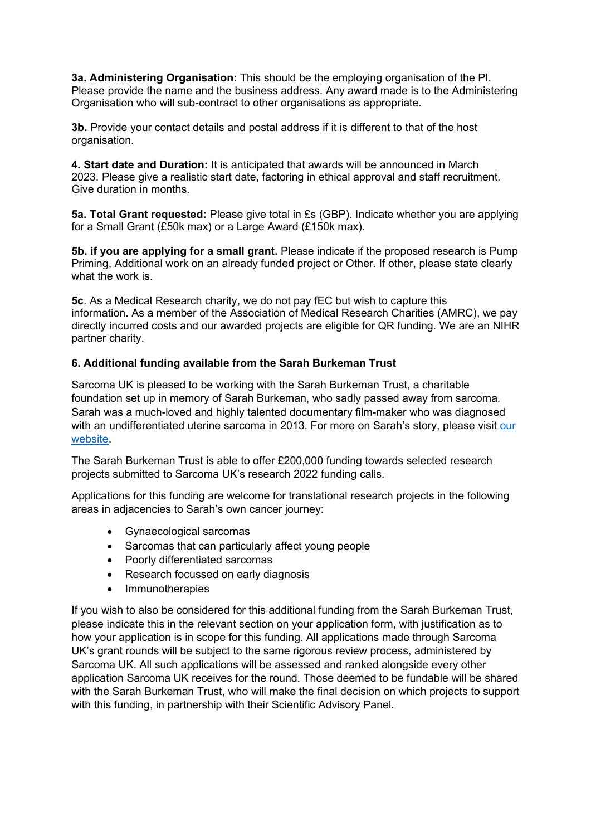**3a. Administering Organisation:** This should be the employing organisation of the PI. Please provide the name and the business address. Any award made is to the Administering Organisation who will sub-contract to other organisations as appropriate.

**3b.** Provide your contact details and postal address if it is different to that of the host organisation.

**4. Start date and Duration:** It is anticipated that awards will be announced in March 2023. Please give a realistic start date, factoring in ethical approval and staff recruitment. Give duration in months.

**5a. Total Grant requested:** Please give total in £s (GBP). Indicate whether you are applying for a Small Grant (£50k max) or a Large Award (£150k max).

**5b. if you are applying for a small grant.** Please indicate if the proposed research is Pump Priming, Additional work on an already funded project or Other. If other, please state clearly what the work is.

**5c**. As a Medical Research charity, we do not pay fEC but wish to capture this information. As a member of the Association of Medical Research Charities (AMRC), we pay directly incurred costs and our awarded projects are eligible for QR funding. We are an NIHR partner charity.

### **6. Additional funding available from the Sarah Burkeman Trust**

Sarcoma UK is pleased to be working with the Sarah Burkeman Trust, a charitable foundation set up in memory of Sarah Burkeman, who sadly passed away from sarcoma. Sarah was a much-loved and highly talented documentary film-maker who was diagnosed with an undifferentiated uterine sarcoma in 2013. For more on Sarah's story, please visit our [website.](https://sarcoma.org.uk/research/researchers/collaboration-sarah-burkeman-trust)

The Sarah Burkeman Trust is able to offer £200,000 funding towards selected research projects submitted to Sarcoma UK's research 2022 funding calls.

Applications for this funding are welcome for translational research projects in the following areas in adjacencies to Sarah's own cancer journey:

- Gynaecological sarcomas
- Sarcomas that can particularly affect young people
- Poorly differentiated sarcomas
- Research focussed on early diagnosis
- **Immunotherapies**

If you wish to also be considered for this additional funding from the Sarah Burkeman Trust, please indicate this in the relevant section on your application form, with justification as to how your application is in scope for this funding. All applications made through Sarcoma UK's grant rounds will be subject to the same rigorous review process, administered by Sarcoma UK. All such applications will be assessed and ranked alongside every other application Sarcoma UK receives for the round. Those deemed to be fundable will be shared with the Sarah Burkeman Trust, who will make the final decision on which projects to support with this funding, in partnership with their Scientific Advisory Panel.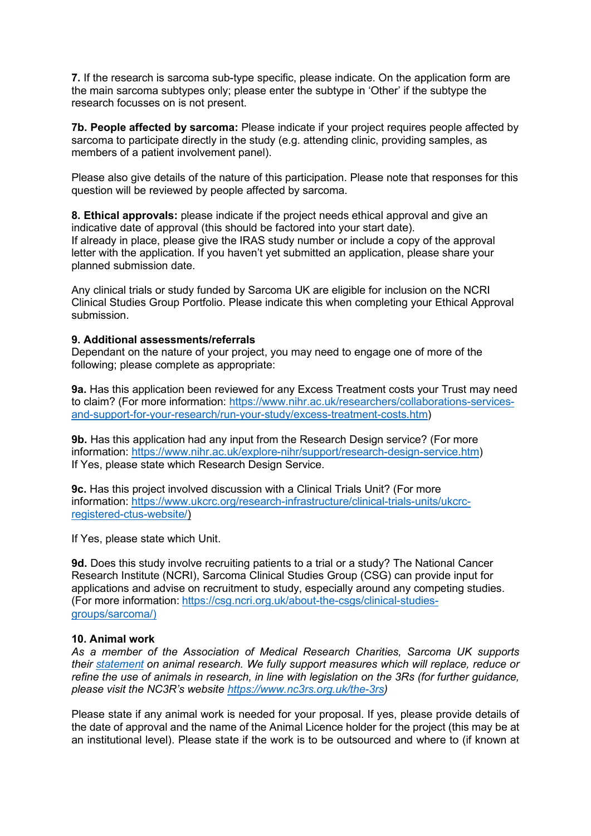**7.** If the research is sarcoma sub-type specific, please indicate. On the application form are the main sarcoma subtypes only; please enter the subtype in 'Other' if the subtype the research focusses on is not present.

**7b. People affected by sarcoma:** Please indicate if your project requires people affected by sarcoma to participate directly in the study (e.g. attending clinic, providing samples, as members of a patient involvement panel).

Please also give details of the nature of this participation. Please note that responses for this question will be reviewed by people affected by sarcoma.

**8. Ethical approvals:** please indicate if the project needs ethical approval and give an indicative date of approval (this should be factored into your start date). If already in place, please give the IRAS study number or include a copy of the approval letter with the application. If you haven't yet submitted an application, please share your planned submission date.

Any clinical trials or study funded by Sarcoma UK are eligible for inclusion on the NCRI Clinical Studies Group Portfolio. Please indicate this when completing your Ethical Approval submission.

#### **9. Additional assessments/referrals**

Dependant on the nature of your project, you may need to engage one of more of the following; please complete as appropriate:

**9a.** Has this application been reviewed for any Excess Treatment costs your Trust may need to claim? (For more information: [https://www.nihr.ac.uk/researchers/collaborations-services](https://www.nihr.ac.uk/researchers/collaborations-services-and-support-for-your-research/run-your-study/excess-treatment-costs.htm)[and-support-for-your-research/run-your-study/excess-treatment-costs.htm\)](https://www.nihr.ac.uk/researchers/collaborations-services-and-support-for-your-research/run-your-study/excess-treatment-costs.htm)

**9b.** Has this application had any input from the Research Design service? (For more information: [https://www.nihr.ac.uk/explore-nihr/support/research-design-service.htm\)](https://www.nihr.ac.uk/explore-nihr/support/research-design-service.htm) If Yes, please state which Research Design Service.

**9c.** Has this project involved discussion with a Clinical Trials Unit? (For more information: [https://www.ukcrc.org/research-infrastructure/clinical-trials-units/ukcrc](https://www.ukcrc.org/research-infrastructure/clinical-trials-units/ukcrc-registered-ctus-website/)[registered-ctus-website/\)](https://www.ukcrc.org/research-infrastructure/clinical-trials-units/ukcrc-registered-ctus-website/)

If Yes, please state which Unit.

**9d.** Does this study involve recruiting patients to a trial or a study? The National Cancer Research Institute (NCRI), Sarcoma Clinical Studies Group (CSG) can provide input for applications and advise on recruitment to study, especially around any competing studies. (For more information: [https://csg.ncri.org.uk/about-the-csgs/clinical-studies](https://csg.ncri.org.uk/about-the-csgs/clinical-studies-groups/sarcoma/)[groups/sarcoma/\)](https://csg.ncri.org.uk/about-the-csgs/clinical-studies-groups/sarcoma/)

#### **10. Animal work**

*As a member of the Association of Medical Research Charities, Sarcoma UK supports their [statement](https://www.amrc.org.uk/position-statement-on-the-use-of-animals-in-research#:%7E:text=No%20AMRC%20charity%20takes%20the,%2Dreported%2C%20and%20ethically%20justified.) on animal research. We fully support measures which will replace, reduce or refine the use of animals in research, in line with legislation on the 3Rs (for further guidance, please visit the NC3R's website [https://www.nc3rs.org.uk/the-3rs\)](https://www.nc3rs.org.uk/the-3rs)*

Please state if any animal work is needed for your proposal. If yes, please provide details of the date of approval and the name of the Animal Licence holder for the project (this may be at an institutional level). Please state if the work is to be outsourced and where to (if known at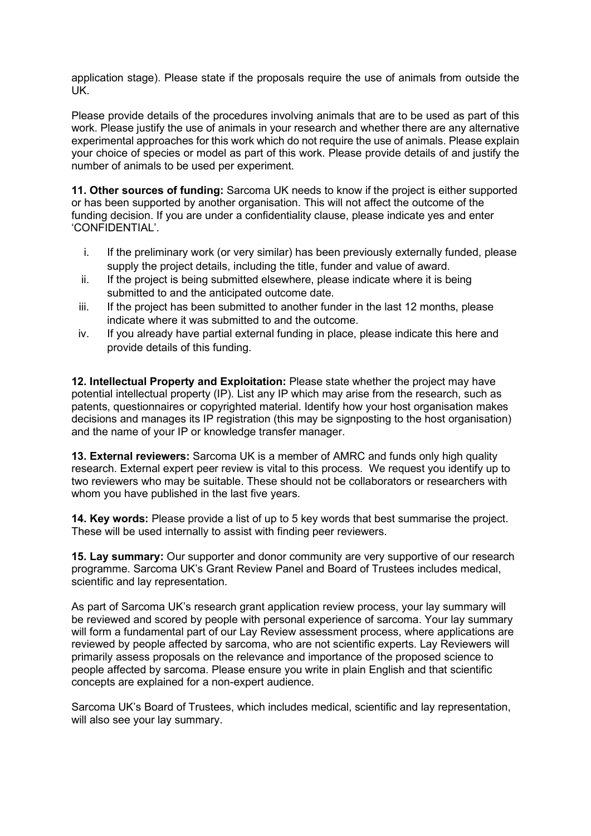application stage). Please state if the proposals require the use of animals from outside the UK.

Please provide details of the procedures involving animals that are to be used as part of this work. Please justify the use of animals in your research and whether there are any alternative experimental approaches for this work which do not require the use of animals. Please explain your choice of species or model as part of this work. Please provide details of and justify the number of animals to be used per experiment.

**11. Other sources of funding:** Sarcoma UK needs to know if the project is either supported or has been supported by another organisation. This will not affect the outcome of the funding decision. If you are under a confidentiality clause, please indicate yes and enter 'CONFIDENTIAL'.

- i. If the preliminary work (or very similar) has been previously externally funded, please supply the project details, including the title, funder and value of award.
- ii. If the project is being submitted elsewhere, please indicate where it is being submitted to and the anticipated outcome date.
- iii. If the project has been submitted to another funder in the last 12 months, please indicate where it was submitted to and the outcome.
- iv. If you already have partial external funding in place, please indicate this here and provide details of this funding.

**12. Intellectual Property and Exploitation:** Please state whether the project may have potential intellectual property (IP). List any IP which may arise from the research, such as patents, questionnaires or copyrighted material. Identify how your host organisation makes decisions and manages its IP registration (this may be signposting to the host organisation) and the name of your IP or knowledge transfer manager.

**13. External reviewers:** Sarcoma UK is a member of AMRC and funds only high quality research. External expert peer review is vital to this process. We request you identify up to two reviewers who may be suitable. These should not be collaborators or researchers with whom you have published in the last five years.

**14. Key words:** Please provide a list of up to 5 key words that best summarise the project. These will be used internally to assist with finding peer reviewers.

**15. Lay summary:** Our supporter and donor community are very supportive of our research programme. Sarcoma UK's Grant Review Panel and Board of Trustees includes medical, scientific and lay representation.

As part of Sarcoma UK's research grant application review process, your lay summary will be reviewed and scored by people with personal experience of sarcoma. Your lay summary will form a fundamental part of our Lay Review assessment process, where applications are reviewed by people affected by sarcoma, who are not scientific experts. Lay Reviewers will primarily assess proposals on the relevance and importance of the proposed science to people affected by sarcoma. Please ensure you write in plain English and that scientific concepts are explained for a non-expert audience.

Sarcoma UK's Board of Trustees, which includes medical, scientific and lay representation, will also see your lay summary.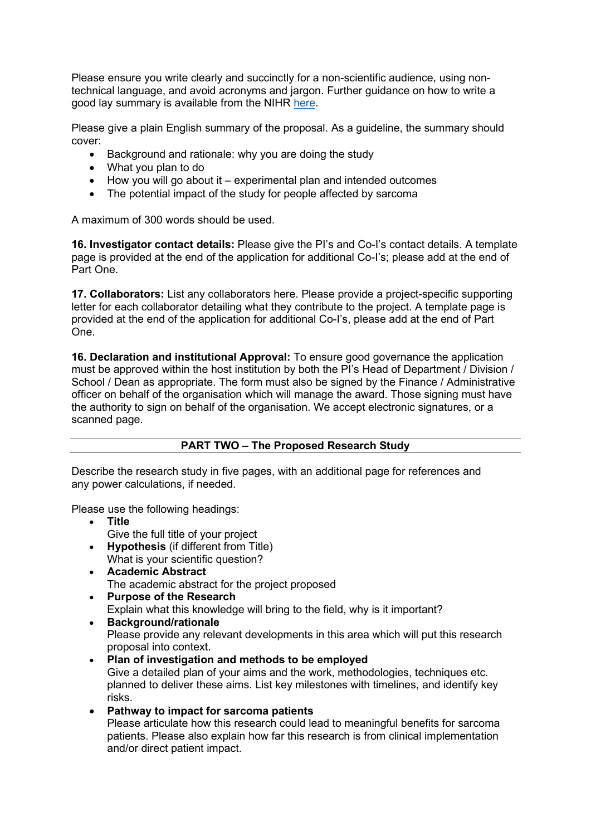Please ensure you write clearly and succinctly for a non-scientific audience, using nontechnical language, and avoid acronyms and jargon. Further guidance on how to write a good lay summary is available from the NIHR [here.](https://www.nihr.ac.uk/documents/plain-english-summaries/27363)

Please give a plain English summary of the proposal. As a guideline, the summary should cover:

- Background and rationale: why you are doing the study
- What you plan to do
- How you will go about it experimental plan and intended outcomes
- The potential impact of the study for people affected by sarcoma

A maximum of 300 words should be used.

**16. Investigator contact details:** Please give the PI's and Co-I's contact details. A template page is provided at the end of the application for additional Co-I's; please add at the end of Part One.

**17. Collaborators:** List any collaborators here. Please provide a project-specific supporting letter for each collaborator detailing what they contribute to the project. A template page is provided at the end of the application for additional Co-I's, please add at the end of Part One.

**16. Declaration and institutional Approval:** To ensure good governance the application must be approved within the host institution by both the PI's Head of Department / Division / School / Dean as appropriate. The form must also be signed by the Finance / Administrative officer on behalf of the organisation which will manage the award. Those signing must have the authority to sign on behalf of the organisation. We accept electronic signatures, or a scanned page.

## **PART TWO – The Proposed Research Study**

Describe the research study in five pages, with an additional page for references and any power calculations, if needed.

Please use the following headings:

- **Title** Give the full title of your project
- **Hypothesis** (if different from Title) What is your scientific question?
- **Academic Abstract** The academic abstract for the project proposed
- **Purpose of the Research** Explain what this knowledge will bring to the field, why is it important?
- **Background/rationale** Please provide any relevant developments in this area which will put this research proposal into context.
- **Plan of investigation and methods to be employed** Give a detailed plan of your aims and the work, methodologies, techniques etc. planned to deliver these aims. List key milestones with timelines, and identify key risks.
- **Pathway to impact for sarcoma patients** Please articulate how this research could lead to meaningful benefits for sarcoma patients. Please also explain how far this research is from clinical implementation and/or direct patient impact.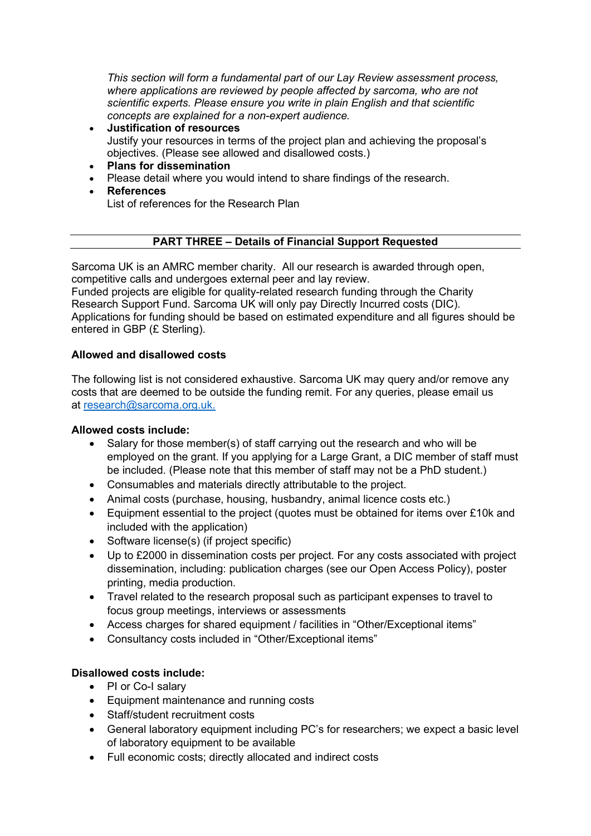*This section will form a fundamental part of our Lay Review assessment process, where applications are reviewed by people affected by sarcoma, who are not scientific experts. Please ensure you write in plain English and that scientific concepts are explained for a non-expert audience.*

- **Justification of resources** Justify your resources in terms of the project plan and achieving the proposal's objectives. (Please see allowed and disallowed costs.)
- **Plans for dissemination**
- Please detail where you would intend to share findings of the research.
- **References** List of references for the Research Plan

### **PART THREE – Details of Financial Support Requested**

Sarcoma UK is an AMRC member charity. All our research is awarded through open, competitive calls and undergoes external peer and lay review.

Funded projects are eligible for quality-related research funding through the Charity Research Support Fund. Sarcoma UK will only pay Directly Incurred costs (DIC). Applications for funding should be based on estimated expenditure and all figures should be entered in GBP (£ Sterling).

### **Allowed and disallowed costs**

The following list is not considered exhaustive. Sarcoma UK may query and/or remove any costs that are deemed to be outside the funding remit. For any queries, please email us at [research@sarcoma.org.uk.](mailto:research@sarcoma.org.uk)

### **Allowed costs include:**

- Salary for those member(s) of staff carrying out the research and who will be employed on the grant. If you applying for a Large Grant, a DIC member of staff must be included. (Please note that this member of staff may not be a PhD student.)
- Consumables and materials directly attributable to the project.
- Animal costs (purchase, housing, husbandry, animal licence costs etc.)
- Equipment essential to the project (quotes must be obtained for items over £10k and included with the application)
- Software license(s) (if project specific)
- Up to £2000 in dissemination costs per project. For any costs associated with project dissemination, including: publication charges (see our Open Access Policy), poster printing, media production.
- Travel related to the research proposal such as participant expenses to travel to focus group meetings, interviews or assessments
- Access charges for shared equipment / facilities in "Other/Exceptional items"
- Consultancy costs included in "Other/Exceptional items"

### **Disallowed costs include:**

- PI or Co-I salary
- Equipment maintenance and running costs
- Staff/student recruitment costs
- General laboratory equipment including PC's for researchers; we expect a basic level of laboratory equipment to be available
- Full economic costs; directly allocated and indirect costs